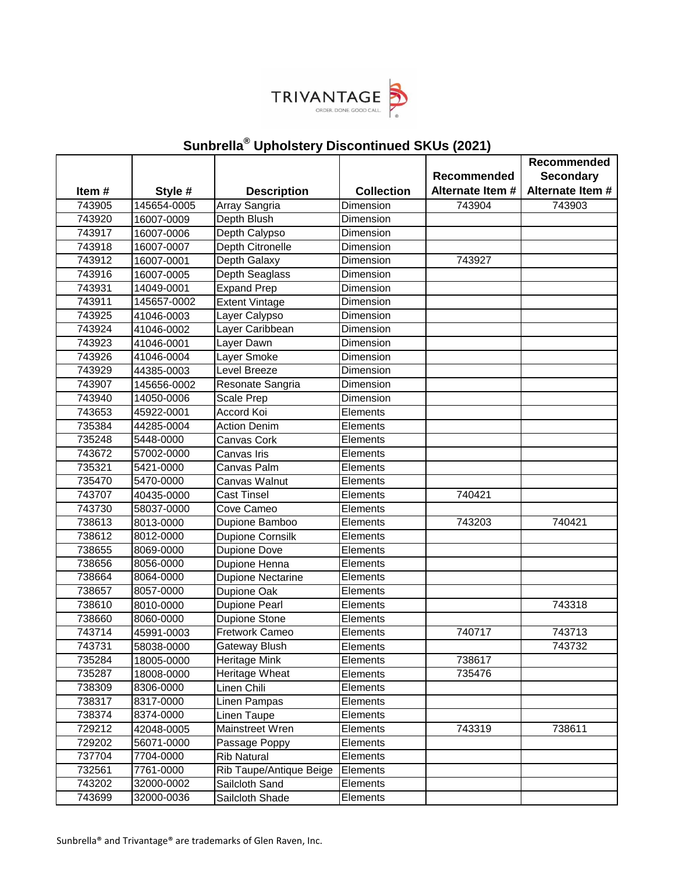

|        |             |                          |                   | Recommended      | Recommended<br><b>Secondary</b> |
|--------|-------------|--------------------------|-------------------|------------------|---------------------------------|
| Item#  | Style #     | <b>Description</b>       | <b>Collection</b> | Alternate Item # | Alternate Item #                |
| 743905 | 145654-0005 | Array Sangria            | Dimension         | 743904           | 743903                          |
| 743920 | 16007-0009  | Depth Blush              | Dimension         |                  |                                 |
| 743917 | 16007-0006  | Depth Calypso            | Dimension         |                  |                                 |
| 743918 | 16007-0007  | <b>Depth Citronelle</b>  | Dimension         |                  |                                 |
| 743912 | 16007-0001  | Depth Galaxy             | Dimension         | 743927           |                                 |
| 743916 | 16007-0005  | Depth Seaglass           | Dimension         |                  |                                 |
| 743931 | 14049-0001  | <b>Expand Prep</b>       | Dimension         |                  |                                 |
| 743911 | 145657-0002 | <b>Extent Vintage</b>    | Dimension         |                  |                                 |
| 743925 | 41046-0003  | Layer Calypso            | Dimension         |                  |                                 |
| 743924 | 41046-0002  | Layer Caribbean          | Dimension         |                  |                                 |
| 743923 | 41046-0001  | Layer Dawn               | Dimension         |                  |                                 |
| 743926 | 41046-0004  | Layer Smoke              | Dimension         |                  |                                 |
| 743929 | 44385-0003  | Level Breeze             | Dimension         |                  |                                 |
| 743907 | 145656-0002 | Resonate Sangria         | Dimension         |                  |                                 |
| 743940 | 14050-0006  | <b>Scale Prep</b>        | Dimension         |                  |                                 |
| 743653 | 45922-0001  | Accord Koi               | Elements          |                  |                                 |
| 735384 | 44285-0004  | <b>Action Denim</b>      | Elements          |                  |                                 |
| 735248 | 5448-0000   | Canvas Cork              | Elements          |                  |                                 |
| 743672 | 57002-0000  | Canvas Iris              | Elements          |                  |                                 |
| 735321 | 5421-0000   | Canvas Palm              | Elements          |                  |                                 |
| 735470 | 5470-0000   | Canvas Walnut            | Elements          |                  |                                 |
| 743707 | 40435-0000  | Cast Tinsel              | Elements          | 740421           |                                 |
| 743730 | 58037-0000  | Cove Cameo               | Elements          |                  |                                 |
| 738613 | 8013-0000   | Dupione Bamboo           | Elements          | 743203           | 740421                          |
| 738612 | 8012-0000   | Dupione Cornsilk         | Elements          |                  |                                 |
| 738655 | 8069-0000   | Dupione Dove             | Elements          |                  |                                 |
| 738656 | 8056-0000   | Dupione Henna            | Elements          |                  |                                 |
| 738664 | 8064-0000   | <b>Dupione Nectarine</b> | Elements          |                  |                                 |
| 738657 | 8057-0000   | Dupione Oak              | Elements          |                  |                                 |
| 738610 | 8010-0000   | <b>Dupione Pearl</b>     | Elements          |                  | 743318                          |
| 738660 | 8060-0000   | Dupione Stone            | Elements          |                  |                                 |
| 743714 | 45991-0003  | Fretwork Cameo           | Elements          | 740717           | 743713                          |
| 743731 | 58038-0000  | Gateway Blush            | Elements          |                  | 743732                          |
| 735284 | 18005-0000  | <b>Heritage Mink</b>     | Elements          | 738617           |                                 |
| 735287 | 18008-0000  | Heritage Wheat           | Elements          | 735476           |                                 |
| 738309 | 8306-0000   | Linen Chili              | Elements          |                  |                                 |
| 738317 | 8317-0000   | Linen Pampas             | Elements          |                  |                                 |
| 738374 | 8374-0000   | Linen Taupe              | Elements          |                  |                                 |
| 729212 | 42048-0005  | Mainstreet Wren          | Elements          | 743319           | 738611                          |
| 729202 | 56071-0000  | Passage Poppy            | Elements          |                  |                                 |
| 737704 | 7704-0000   | <b>Rib Natural</b>       | Elements          |                  |                                 |
| 732561 | 7761-0000   | Rib Taupe/Antique Beige  | Elements          |                  |                                 |
| 743202 | 32000-0002  | Sailcloth Sand           | Elements          |                  |                                 |
| 743699 | 32000-0036  | Sailcloth Shade          | Elements          |                  |                                 |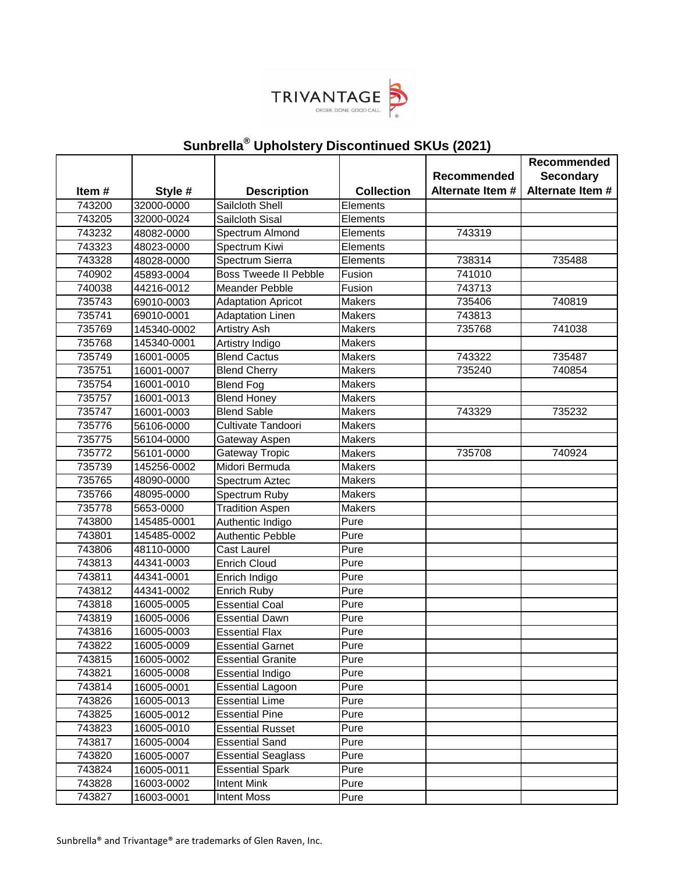

|        |             |                              |                   |                  | Recommended      |
|--------|-------------|------------------------------|-------------------|------------------|------------------|
|        |             |                              |                   | Recommended      | <b>Secondary</b> |
| Item#  | Style #     | <b>Description</b>           | <b>Collection</b> | Alternate Item # | Alternate Item # |
| 743200 | 32000-0000  | Sailcloth Shell              | Elements          |                  |                  |
| 743205 | 32000-0024  | Sailcloth Sisal              | Elements          |                  |                  |
| 743232 | 48082-0000  | Spectrum Almond              | Elements          | 743319           |                  |
| 743323 | 48023-0000  | Spectrum Kiwi                | Elements          |                  |                  |
| 743328 | 48028-0000  | Spectrum Sierra              | Elements          | 738314           | 735488           |
| 740902 | 45893-0004  | <b>Boss Tweede II Pebble</b> | Fusion            | 741010           |                  |
| 740038 | 44216-0012  | <b>Meander Pebble</b>        | Fusion            | 743713           |                  |
| 735743 | 69010-0003  | <b>Adaptation Apricot</b>    | Makers            | 735406           | 740819           |
| 735741 | 69010-0001  | <b>Adaptation Linen</b>      | <b>Makers</b>     | 743813           |                  |
| 735769 | 145340-0002 | <b>Artistry Ash</b>          | <b>Makers</b>     | 735768           | 741038           |
| 735768 | 145340-0001 | Artistry Indigo              | <b>Makers</b>     |                  |                  |
| 735749 | 16001-0005  | <b>Blend Cactus</b>          | Makers            | 743322           | 735487           |
| 735751 | 16001-0007  | <b>Blend Cherry</b>          | Makers            | 735240           | 740854           |
| 735754 | 16001-0010  | <b>Blend Fog</b>             | <b>Makers</b>     |                  |                  |
| 735757 | 16001-0013  | <b>Blend Honey</b>           | <b>Makers</b>     |                  |                  |
| 735747 | 16001-0003  | <b>Blend Sable</b>           | <b>Makers</b>     | 743329           | 735232           |
| 735776 | 56106-0000  | Cultivate Tandoori           | <b>Makers</b>     |                  |                  |
| 735775 | 56104-0000  | Gateway Aspen                | <b>Makers</b>     |                  |                  |
| 735772 | 56101-0000  | Gateway Tropic               | <b>Makers</b>     | 735708           | 740924           |
| 735739 | 145256-0002 | Midori Bermuda               | <b>Makers</b>     |                  |                  |
| 735765 | 48090-0000  | Spectrum Aztec               | <b>Makers</b>     |                  |                  |
| 735766 | 48095-0000  | Spectrum Ruby                | <b>Makers</b>     |                  |                  |
| 735778 | 5653-0000   | <b>Tradition Aspen</b>       | Makers            |                  |                  |
| 743800 | 145485-0001 | Authentic Indigo             | Pure              |                  |                  |
| 743801 | 145485-0002 | <b>Authentic Pebble</b>      | Pure              |                  |                  |
| 743806 | 48110-0000  | Cast Laurel                  | Pure              |                  |                  |
| 743813 | 44341-0003  | <b>Enrich Cloud</b>          | Pure              |                  |                  |
| 743811 | 44341-0001  | Enrich Indigo                | Pure              |                  |                  |
| 743812 | 44341-0002  | Enrich Ruby                  | Pure              |                  |                  |
| 743818 | 16005-0005  | <b>Essential Coal</b>        | Pure              |                  |                  |
| 743819 | 16005-0006  | <b>Essential Dawn</b>        | Pure              |                  |                  |
| 743816 | 16005-0003  | <b>Essential Flax</b>        | Pure              |                  |                  |
| 743822 | 16005-0009  | <b>Essential Garnet</b>      | Pure              |                  |                  |
| 743815 | 16005-0002  | <b>Essential Granite</b>     | Pure              |                  |                  |
| 743821 | 16005-0008  | <b>Essential Indigo</b>      | Pure              |                  |                  |
| 743814 | 16005-0001  | <b>Essential Lagoon</b>      | Pure              |                  |                  |
| 743826 | 16005-0013  | <b>Essential Lime</b>        | Pure              |                  |                  |
| 743825 | 16005-0012  | <b>Essential Pine</b>        | Pure              |                  |                  |
| 743823 | 16005-0010  | <b>Essential Russet</b>      | Pure              |                  |                  |
| 743817 | 16005-0004  | <b>Essential Sand</b>        | Pure              |                  |                  |
| 743820 | 16005-0007  | <b>Essential Seaglass</b>    | Pure              |                  |                  |
| 743824 | 16005-0011  | <b>Essential Spark</b>       | Pure              |                  |                  |
| 743828 | 16003-0002  | <b>Intent Mink</b>           | Pure              |                  |                  |
| 743827 | 16003-0001  | <b>Intent Moss</b>           | Pure              |                  |                  |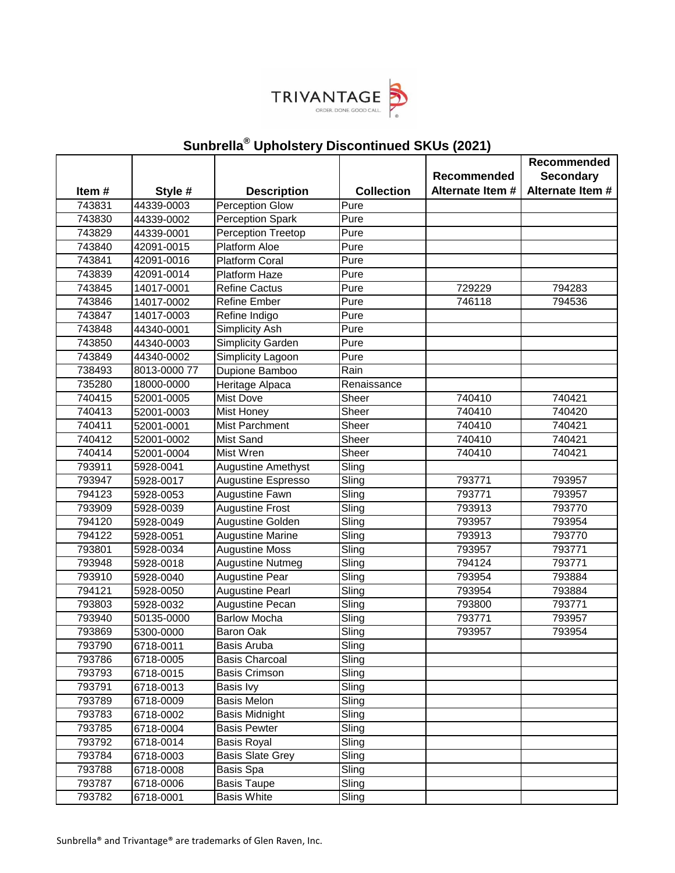

|                  |                          |                                            |                             |                                 | Recommended                          |
|------------------|--------------------------|--------------------------------------------|-----------------------------|---------------------------------|--------------------------------------|
|                  |                          |                                            |                             | Recommended<br>Alternate Item # | <b>Secondary</b><br>Alternate Item # |
| Item#            | Style #                  | <b>Description</b>                         | <b>Collection</b>           |                                 |                                      |
| 743831           | 44339-0003               | <b>Perception Glow</b>                     | Pure<br>Pure                |                                 |                                      |
| 743830           | 44339-0002               | Perception Spark                           | Pure                        |                                 |                                      |
| 743829<br>743840 | 44339-0001<br>42091-0015 | Perception Treetop<br><b>Platform Aloe</b> | Pure                        |                                 |                                      |
| 743841           | 42091-0016               | <b>Platform Coral</b>                      | Pure                        |                                 |                                      |
| 743839           | 42091-0014               | Platform Haze                              | Pure                        |                                 |                                      |
| 743845           | 14017-0001               | <b>Refine Cactus</b>                       | Pure                        | 729229                          | 794283                               |
| 743846           | 14017-0002               | <b>Refine Ember</b>                        | Pure                        | 746118                          | 794536                               |
| 743847           | 14017-0003               | Refine Indigo                              | Pure                        |                                 |                                      |
| 743848           | 44340-0001               | Simplicity Ash                             | Pure                        |                                 |                                      |
| 743850           | 44340-0003               | Simplicity Garden                          | Pure                        |                                 |                                      |
| 743849           | 44340-0002               | Simplicity Lagoon                          | Pure                        |                                 |                                      |
| 738493           | 8013-0000 77             | Dupione Bamboo                             | Rain                        |                                 |                                      |
| 735280           | 18000-0000               | Heritage Alpaca                            | Renaissance                 |                                 |                                      |
| 740415           | 52001-0005               | <b>Mist Dove</b>                           | Sheer                       | 740410                          | 740421                               |
| 740413           | 52001-0003               | <b>Mist Honey</b>                          | Sheer                       | 740410                          | 740420                               |
| 740411           | 52001-0001               | <b>Mist Parchment</b>                      | Sheer                       | 740410                          | 740421                               |
| 740412           | 52001-0002               | <b>Mist Sand</b>                           | Sheer                       | 740410                          | 740421                               |
| 740414           | 52001-0004               | <b>Mist Wren</b>                           | Sheer                       | 740410                          | 740421                               |
| 793911           | 5928-0041                | Augustine Amethyst                         | Sling                       |                                 |                                      |
| 793947           | 5928-0017                | Augustine Espresso                         | Sling                       | 793771                          | 793957                               |
| 794123           | 5928-0053                | Augustine Fawn                             | Sling                       | 793771                          | 793957                               |
| 793909           | 5928-0039                | <b>Augustine Frost</b>                     | Sling                       | 793913                          | 793770                               |
| 794120           | 5928-0049                | Augustine Golden                           | Sling                       | 793957                          | 793954                               |
| 794122           | 5928-0051                | <b>Augustine Marine</b>                    | Sling                       | 793913                          | 793770                               |
| 793801           | 5928-0034                | <b>Augustine Moss</b>                      | Sling                       | 793957                          | 793771                               |
| 793948           | 5928-0018                | <b>Augustine Nutmeg</b>                    | Sling                       | 794124                          | 793771                               |
| 793910           | 5928-0040                | <b>Augustine Pear</b>                      | Sling                       | 793954                          | 793884                               |
| 794121           | 5928-0050                | <b>Augustine Pearl</b>                     | $\overline{\textsf{Sling}}$ | 793954                          | 793884                               |
| 793803           | 5928-0032                | Augustine Pecan                            | Sling                       | 793800                          | 793771                               |
| 793940           | 50135-0000               | <b>Barlow Mocha</b>                        | Sling                       | 793771                          | 793957                               |
| 793869           | 5300-0000                | Baron Oak                                  | Sling                       | 793957                          | 793954                               |
| 793790           | 6718-0011                | Basis Aruba                                | Sling                       |                                 |                                      |
| 793786           | 6718-0005                | <b>Basis Charcoal</b>                      | Sling                       |                                 |                                      |
| 793793           | 6718-0015                | Basis Crimson                              | Sling                       |                                 |                                      |
| 793791           | 6718-0013                | Basis Ivy                                  | $\overline{\textsf{Sling}}$ |                                 |                                      |
| 793789           | 6718-0009                | <b>Basis Melon</b>                         | Sling                       |                                 |                                      |
| 793783           | 6718-0002                | Basis Midnight                             | Sling                       |                                 |                                      |
| 793785           | 6718-0004                | <b>Basis Pewter</b>                        | Sling                       |                                 |                                      |
| 793792           | 6718-0014                | <b>Basis Royal</b>                         | Sling                       |                                 |                                      |
| 793784           | 6718-0003                | <b>Basis Slate Grey</b>                    | Sling                       |                                 |                                      |
| 793788           | 6718-0008                | Basis Spa                                  | Sling                       |                                 |                                      |
| 793787           | 6718-0006                | <b>Basis Taupe</b>                         | Sling                       |                                 |                                      |
| 793782           | 6718-0001                | <b>Basis White</b>                         | Sling                       |                                 |                                      |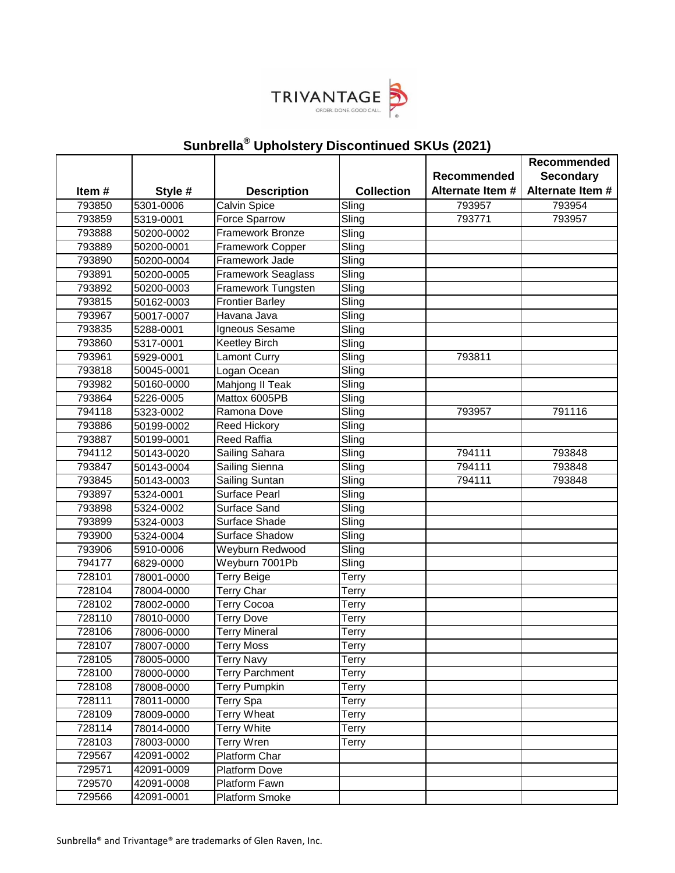

|                  |                          |                                    |                             | Recommended      | <b>Recommended</b><br><b>Secondary</b> |
|------------------|--------------------------|------------------------------------|-----------------------------|------------------|----------------------------------------|
| Item#            | Style #                  | <b>Description</b>                 | <b>Collection</b>           | Alternate Item # | Alternate Item #                       |
| 793850           | 5301-0006                | Calvin Spice                       | $\overline{\textsf{Sling}}$ | 793957           | 793954                                 |
| 793859           | 5319-0001                | Force Sparrow                      | Sling                       | 793771           | 793957                                 |
| 793888           | 50200-0002               | <b>Framework Bronze</b>            | Sling                       |                  |                                        |
| 793889           | 50200-0001               | Framework Copper                   | Sling                       |                  |                                        |
| 793890           | 50200-0004               | Framework Jade                     | Sling                       |                  |                                        |
| 793891           | 50200-0005               | <b>Framework Seaglass</b>          | $\overline{\textsf{Sling}}$ |                  |                                        |
| 793892           | 50200-0003               | Framework Tungsten                 | Sling                       |                  |                                        |
| 793815           | 50162-0003               | <b>Frontier Barley</b>             | $\overline{\textsf{Sling}}$ |                  |                                        |
| 793967           | 50017-0007               | Havana Java                        | Sling                       |                  |                                        |
| 793835           | 5288-0001                | Igneous Sesame                     | Sling                       |                  |                                        |
| 793860           | 5317-0001                | <b>Keetley Birch</b>               | Sling                       |                  |                                        |
| 793961           | 5929-0001                | Lamont Curry                       | Sling                       | 793811           |                                        |
| 793818<br>793982 | 50045-0001<br>50160-0000 | Logan Ocean                        | Sling                       |                  |                                        |
|                  |                          | Mahjong II Teak                    | Sling                       |                  |                                        |
| 793864<br>794118 | 5226-0005                | Mattox 6005PB                      | Sling<br>Sling              | 793957           | 791116                                 |
| 793886           | 5323-0002<br>50199-0002  | Ramona Dove<br><b>Reed Hickory</b> | Sling                       |                  |                                        |
| 793887           | 50199-0001               | <b>Reed Raffia</b>                 | Sling                       |                  |                                        |
| 794112           | 50143-0020               | Sailing Sahara                     | Sling                       | 794111           | 793848                                 |
| 793847           | 50143-0004               | Sailing Sienna                     | $\overline{\textsf{Sling}}$ | 794111           | 793848                                 |
| 793845           | 50143-0003               | Sailing Suntan                     | $\overline{\textsf{Sling}}$ | 794111           | 793848                                 |
| 793897           | 5324-0001                | <b>Surface Pearl</b>               | Sling                       |                  |                                        |
| 793898           | 5324-0002                | Surface Sand                       | Sling                       |                  |                                        |
| 793899           | 5324-0003                | Surface Shade                      | Sling                       |                  |                                        |
| 793900           | 5324-0004                | <b>Surface Shadow</b>              | Sling                       |                  |                                        |
| 793906           | 5910-0006                | Weyburn Redwood                    | Sling                       |                  |                                        |
| 794177           | 6829-0000                | Weyburn 7001Pb                     | Sling                       |                  |                                        |
| 728101           | 78001-0000               | <b>Terry Beige</b>                 | Terry                       |                  |                                        |
| 728104           | 78004-0000               | Terry Char                         | Terry                       |                  |                                        |
| 728102           | 78002-0000               | <b>Terry Cocoa</b>                 | Terry                       |                  |                                        |
| 728110           | 78010-0000               | <b>Terry Dove</b>                  | <b>Terry</b>                |                  |                                        |
| 728106           | 78006-0000               | <b>Terry Mineral</b>               | <b>Terry</b>                |                  |                                        |
| 728107           | 78007-0000               | <b>Terry Moss</b>                  | <b>Terry</b>                |                  |                                        |
| 728105           | 78005-0000               | <b>Terry Navy</b>                  | Terry                       |                  |                                        |
| 728100           | 78000-0000               | <b>Terry Parchment</b>             | Terry                       |                  |                                        |
| 728108           | 78008-0000               | <b>Terry Pumpkin</b>               | Terry                       |                  |                                        |
| 728111           | 78011-0000               | Terry Spa                          | Terry                       |                  |                                        |
| 728109           | 78009-0000               | Terry Wheat                        | Terry                       |                  |                                        |
| 728114           | 78014-0000               | <b>Terry White</b>                 | Terry                       |                  |                                        |
| 728103           | 78003-0000               | <b>Terry Wren</b>                  | Terry                       |                  |                                        |
| 729567           | 42091-0002               | Platform Char                      |                             |                  |                                        |
| 729571           | 42091-0009               | Platform Dove                      |                             |                  |                                        |
| 729570           | 42091-0008               | Platform Fawn                      |                             |                  |                                        |
| 729566           | 42091-0001               | Platform Smoke                     |                             |                  |                                        |